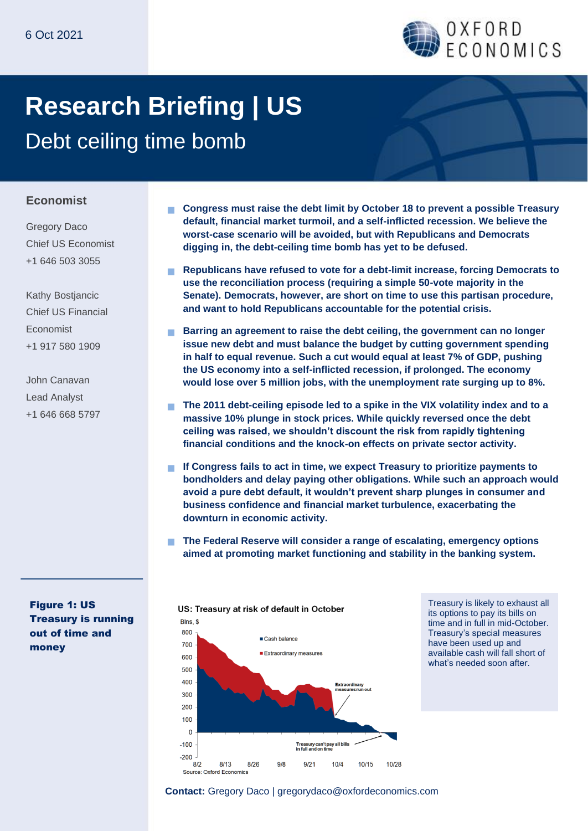

# **Research Briefing | US**

Debt ceiling time bomb

#### **Economist**

Gregory Daco Chief US Economist +1 646 503 3055

Kathy Bostjancic Chief US Financial Economist +1 917 580 1909

John Canavan Lead Analyst +1 646 668 5797

Figure 1: US Treasury is running out of time and money

- **Congress must raise the debt limit by October 18 to prevent a possible Treasury default, financial market turmoil, and a self-inflicted recession. We believe the worst-case scenario will be avoided, but with Republicans and Democrats digging in, the debt-ceiling time bomb has yet to be defused.**
- **Republicans have refused to vote for a debt-limit increase, forcing Democrats to use the reconciliation process (requiring a simple 50-vote majority in the Senate). Democrats, however, are short on time to use this partisan procedure, and want to hold Republicans accountable for the potential crisis.**
- **Barring an agreement to raise the debt ceiling, the government can no longer issue new debt and must balance the budget by cutting government spending in half to equal revenue. Such a cut would equal at least 7% of GDP, pushing the US economy into a self-inflicted recession, if prolonged. The economy would lose over 5 million jobs, with the unemployment rate surging up to 8%.**
- **The 2011 debt-ceiling episode led to a spike in the VIX volatility index and to a massive 10% plunge in stock prices. While quickly reversed once the debt ceiling was raised, we shouldn't discount the risk from rapidly tightening financial conditions and the knock-on effects on private sector activity.**
- **If Congress fails to act in time, we expect Treasury to prioritize payments to bondholders and delay paying other obligations. While such an approach would avoid a pure debt default, it wouldn't prevent sharp plunges in consumer and business confidence and financial market turbulence, exacerbating the downturn in economic activity.**
- **The Federal Reserve will consider a range of escalating, emergency options aimed at promoting market functioning and stability in the banking system.**



Treasury is likely to exhaust all its options to pay its bills on time and in full in mid-October. Treasury's special measures have been used up and available cash will fall short of what's needed soon after.

#### **Contact:** Gregory Daco | gregorydaco@oxfordeconomics.com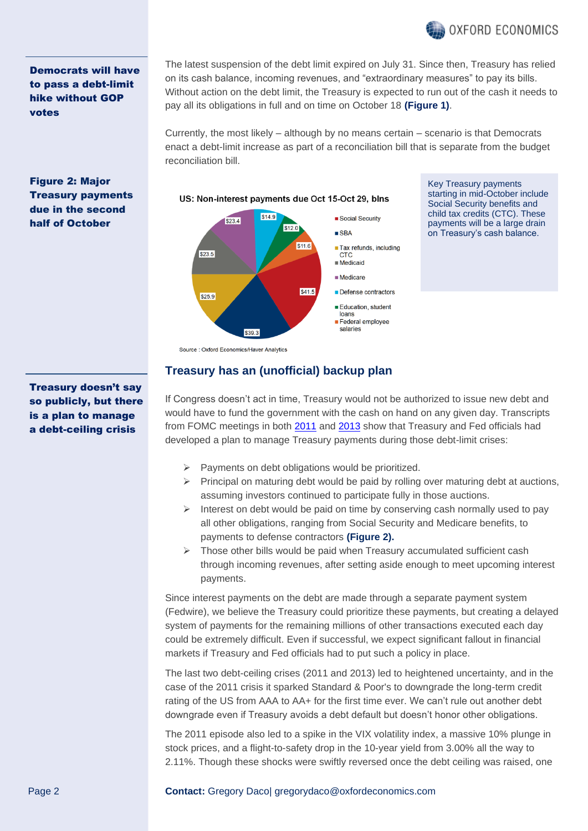

Democrats will have to pass a debt-limit hike without GOP votes

Figure 2: Major Treasury payments due in the second half of October

The latest suspension of the debt limit expired on July 31. Since then, Treasury has relied on its cash balance, incoming revenues, and "extraordinary measures" to pay its bills. Without action on the debt limit, the Treasury is expected to run out of the cash it needs to pay all its obligations in full and on time on October 18 **(Figure 1)**.

Currently, the most likely – although by no means certain – scenario is that Democrats enact a debt-limit increase as part of a reconciliation bill that is separate from the budget reconciliation bill.

#### US: Non-interest payments due Oct 15-Oct 29, blns \$14.9 Social Security  $523.4$  $$12.0$  $$  $$11.6$ Tax refunds, including S<sub>23</sub> 5 **CTC Medicaid Medicare**  $$41.5$ **Defense contractors**  $525.9$ Education, student loans Federal employee salaries \$39.3 Source : Oxford Economics/Haver Analytics

Key Treasury payments starting in mid-October include Social Security benefits and child tax credits (CTC). These payments will be a large drain on Treasury's cash balance.

Treasury doesn't say so publicly, but there is a plan to manage

a debt-ceiling crisis

## **Treasury has an (unofficial) backup plan**

If Congress doesn't act in time, Treasury would not be authorized to issue new debt and would have to fund the government with the cash on hand on any given day. Transcripts from FOMC meetings in both [2011](https://www.federalreserve.gov/monetarypolicy/files/FOMC20110801confcall.pdf) and [2013](https://www.federalreserve.gov/monetarypolicy/files/FOMC20131016confcall.pdf) show that Treasury and Fed officials had developed a plan to manage Treasury payments during those debt-limit crises:

- $\triangleright$  Payments on debt obligations would be prioritized.
- $\triangleright$  Principal on maturing debt would be paid by rolling over maturing debt at auctions, assuming investors continued to participate fully in those auctions.
- $\triangleright$  Interest on debt would be paid on time by conserving cash normally used to pay all other obligations, ranging from Social Security and Medicare benefits, to payments to defense contractors **(Figure 2).**
- $\triangleright$  Those other bills would be paid when Treasury accumulated sufficient cash through incoming revenues, after setting aside enough to meet upcoming interest payments.

Since interest payments on the debt are made through a separate payment system (Fedwire), we believe the Treasury could prioritize these payments, but creating a delayed system of payments for the remaining millions of other transactions executed each day could be extremely difficult. Even if successful, we expect significant fallout in financial markets if Treasury and Fed officials had to put such a policy in place.

The last two debt-ceiling crises (2011 and 2013) led to heightened uncertainty, and in the case of the 2011 crisis it sparked Standard & Poor's to downgrade the long-term credit rating of the US from AAA to AA+ for the first time ever. We can't rule out another debt downgrade even if Treasury avoids a debt default but doesn't honor other obligations.

The 2011 episode also led to a spike in the VIX volatility index, a massive 10% plunge in stock prices, and a flight-to-safety drop in the 10-year yield from 3.00% all the way to 2.11%. Though these shocks were swiftly reversed once the debt ceiling was raised, one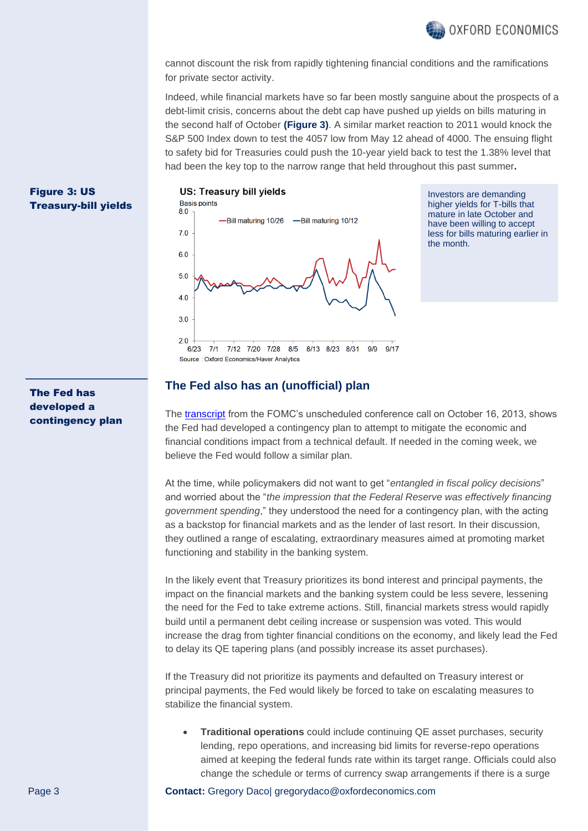

cannot discount the risk from rapidly tightening financial conditions and the ramifications for private sector activity.

Indeed, while financial markets have so far been mostly sanguine about the prospects of a debt-limit crisis, concerns about the debt cap have pushed up yields on bills maturing in the second half of October **(Figure 3)**. A similar market reaction to 2011 would knock the S&P 500 Index down to test the 4057 low from May 12 ahead of 4000. The ensuing flight to safety bid for Treasuries could push the 10-year yield back to test the 1.38% level that had been the key top to the narrow range that held throughout this past summer**.**

#### Figure 3: US Treasury-bill yields

#### US: Treasury bill yields



Investors are demanding higher yields for T-bills that mature in late October and have been willing to accept less for bills maturing earlier in the month.

 $6/23$  $9/17$  $7/1$ 7/12 7/20 7/28  $8/5$ 8/13 8/23 8/31  $9/9$ Source: Oxford Economics/Haver Analytics

#### **The Fed also has an (unofficial) plan**

The [transcript](https://www.federalreserve.gov/monetarypolicy/files/FOMC20131016confcall.pdf) from the FOMC's unscheduled conference call on October 16, 2013, shows the Fed had developed a contingency plan to attempt to mitigate the economic and financial conditions impact from a technical default. If needed in the coming week, we believe the Fed would follow a similar plan.

At the time, while policymakers did not want to get "*entangled in fiscal policy decisions*" and worried about the "*the impression that the Federal Reserve was effectively financing government spending*," they understood the need for a contingency plan, with the acting as a backstop for financial markets and as the lender of last resort. In their discussion, they outlined a range of escalating, extraordinary measures aimed at promoting market functioning and stability in the banking system.

In the likely event that Treasury prioritizes its bond interest and principal payments, the impact on the financial markets and the banking system could be less severe, lessening the need for the Fed to take extreme actions. Still, financial markets stress would rapidly build until a permanent debt ceiling increase or suspension was voted. This would increase the drag from tighter financial conditions on the economy, and likely lead the Fed to delay its QE tapering plans (and possibly increase its asset purchases).

If the Treasury did not prioritize its payments and defaulted on Treasury interest or principal payments, the Fed would likely be forced to take on escalating measures to stabilize the financial system.

• **Traditional operations** could include continuing QE asset purchases, security lending, repo operations, and increasing bid limits for reverse-repo operations aimed at keeping the federal funds rate within its target range. Officials could also change the schedule or terms of currency swap arrangements if there is a surge

### The Fed has developed a contingency plan